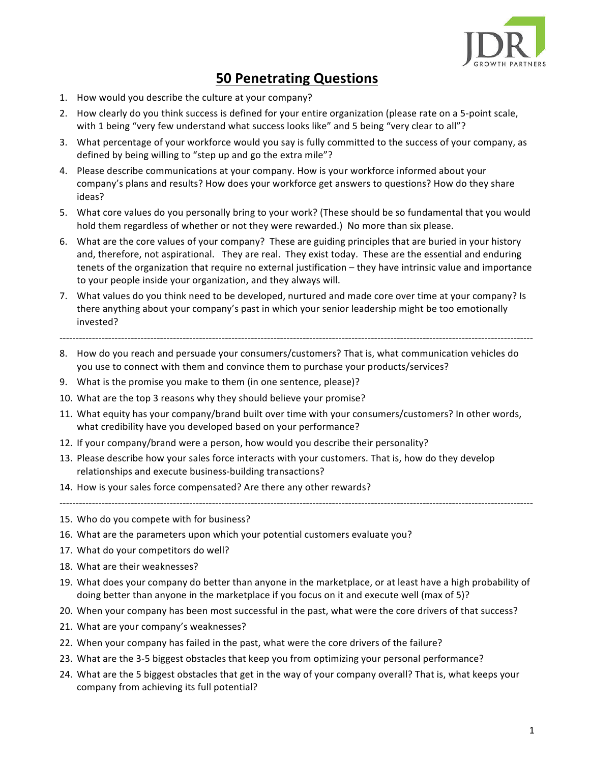

## **50 Penetrating Questions**

- 1. How would you describe the culture at your company?
- 2. How clearly do you think success is defined for your entire organization (please rate on a 5-point scale, with 1 being "very few understand what success looks like" and 5 being "very clear to all"?
- 3. What percentage of your workforce would you say is fully committed to the success of your company, as defined by being willing to "step up and go the extra mile"?
- 4. Please describe communications at your company. How is your workforce informed about your company's plans and results? How does your workforce get answers to questions? How do they share ideas?
- 5. What core values do you personally bring to your work? (These should be so fundamental that you would hold them regardless of whether or not they were rewarded.) No more than six please.
- 6. What are the core values of your company? These are guiding principles that are buried in your history and, therefore, not aspirational. They are real. They exist today. These are the essential and enduring tenets of the organization that require no external justification – they have intrinsic value and importance to your people inside your organization, and they always will.
- 7. What values do you think need to be developed, nurtured and made core over time at your company? Is there anything about your company's past in which your senior leadership might be too emotionally invested?
- --------------------------------------------------------------------------------------------------------------------------------------------------
- 8. How do you reach and persuade your consumers/customers? That is, what communication vehicles do you use to connect with them and convince them to purchase your products/services?
- 9. What is the promise you make to them (in one sentence, please)?
- 10. What are the top 3 reasons why they should believe your promise?
- 11. What equity has your company/brand built over time with your consumers/customers? In other words, what credibility have you developed based on your performance?
- 12. If your company/brand were a person, how would you describe their personality?
- 13. Please describe how your sales force interacts with your customers. That is, how do they develop relationships and execute business-building transactions?
- 14. How is your sales force compensated? Are there any other rewards?
- 15. Who do you compete with for business?
- 16. What are the parameters upon which your potential customers evaluate you?
- 17. What do your competitors do well?
- 18. What are their weaknesses?
- 19. What does your company do better than anyone in the marketplace, or at least have a high probability of doing better than anyone in the marketplace if you focus on it and execute well (max of 5)?

--------------------------------------------------------------------------------------------------------------------------------------------------

- 20. When your company has been most successful in the past, what were the core drivers of that success?
- 21. What are your company's weaknesses?
- 22. When your company has failed in the past, what were the core drivers of the failure?
- 23. What are the 3-5 biggest obstacles that keep you from optimizing your personal performance?
- 24. What are the 5 biggest obstacles that get in the way of your company overall? That is, what keeps your company from achieving its full potential?